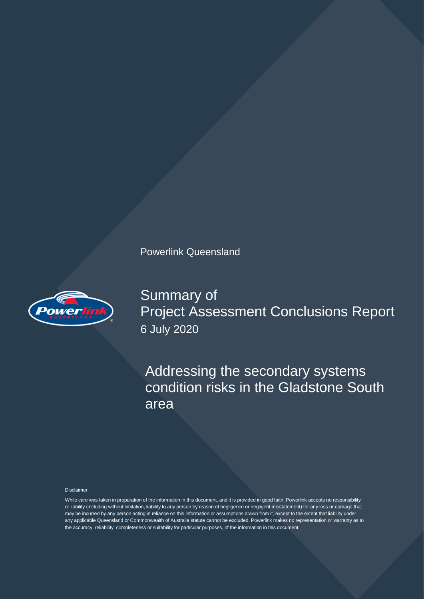

Summary of Project Assessment Conclusions Report 6 July 2020

Addressing the secondary systems condition risks in the Gladstone South area

#### Disclaimer

While care was taken in preparation of the information in this document, and it is provided in good faith, Powerlink accepts no responsibility or liability (including without limitation, liability to any person by reason of negligence or negligent misstatement) for any loss or damage that may be incurred by any person acting in reliance on this information or assumptions drawn from it, except to the extent that liability under any applicable Queensland or Commonwealth of Australia statute cannot be excluded. Powerlink makes no representation or warranty as to the accuracy, reliability, completeness or suitability for particular purposes, of the information in this document.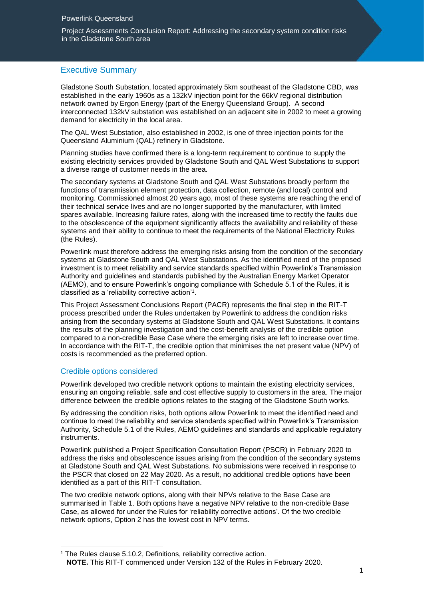Project Assessments Conclusion Report: Addressing the secondary system condition risks in the Gladstone South area

## Executive Summary

Gladstone South Substation, located approximately 5km southeast of the Gladstone CBD, was established in the early 1960s as a 132kV injection point for the 66kV regional distribution network owned by Ergon Energy (part of the Energy Queensland Group). A second interconnected 132kV substation was established on an adjacent site in 2002 to meet a growing demand for electricity in the local area.

The QAL West Substation, also established in 2002, is one of three injection points for the Queensland Aluminium (QAL) refinery in Gladstone.

Planning studies have confirmed there is a long-term requirement to continue to supply the existing electricity services provided by Gladstone South and QAL West Substations to support a diverse range of customer needs in the area.

The secondary systems at Gladstone South and QAL West Substations broadly perform the functions of transmission element protection, data collection, remote (and local) control and monitoring. Commissioned almost 20 years ago, most of these systems are reaching the end of their technical service lives and are no longer supported by the manufacturer, with limited spares available. Increasing failure rates, along with the increased time to rectify the faults due to the obsolescence of the equipment significantly affects the availability and reliability of these systems and their ability to continue to meet the requirements of the National Electricity Rules (the Rules).

Powerlink must therefore address the emerging risks arising from the condition of the secondary systems at Gladstone South and QAL West Substations. As the identified need of the proposed investment is to meet reliability and service standards specified within Powerlink's Transmission Authority and guidelines and standards published by the Australian Energy Market Operator (AEMO), and to ensure Powerlink's ongoing compliance with Schedule 5.1 of the Rules, it is classified as a 'reliability corrective action'<sup>1</sup> .

This Project Assessment Conclusions Report (PACR) represents the final step in the RIT-T process prescribed under the Rules undertaken by Powerlink to address the condition risks arising from the secondary systems at Gladstone South and QAL West Substations. It contains the results of the planning investigation and the cost-benefit analysis of the credible option compared to a non-credible Base Case where the emerging risks are left to increase over time. In accordance with the RIT-T, the credible option that minimises the net present value (NPV) of costs is recommended as the preferred option.

## Credible options considered

1

Powerlink developed two credible network options to maintain the existing electricity services, ensuring an ongoing reliable, safe and cost effective supply to customers in the area. The major difference between the credible options relates to the staging of the Gladstone South works.

By addressing the condition risks, both options allow Powerlink to meet the identified need and continue to meet the reliability and service standards specified within Powerlink's Transmission Authority, Schedule 5.1 of the Rules, AEMO guidelines and standards and applicable regulatory instruments.

Powerlink published a Project Specification Consultation Report (PSCR) in February 2020 to address the risks and obsolescence issues arising from the condition of the secondary systems at Gladstone South and QAL West Substations. No submissions were received in response to the PSCR that closed on 22 May 2020. As a result, no additional credible options have been identified as a part of this RIT-T consultation.

The two credible network options, along with their NPVs relative to the Base Case are summarised in Table 1. Both options have a negative NPV relative to the non-credible Base Case, as allowed for under the Rules for 'reliability corrective actions'. Of the two credible network options, Option 2 has the lowest cost in NPV terms.

<sup>&</sup>lt;sup>1</sup> The Rules clause 5.10.2, Definitions, reliability corrective action. **NOTE.** This RIT-T commenced under Version 132 of the Rules in February 2020.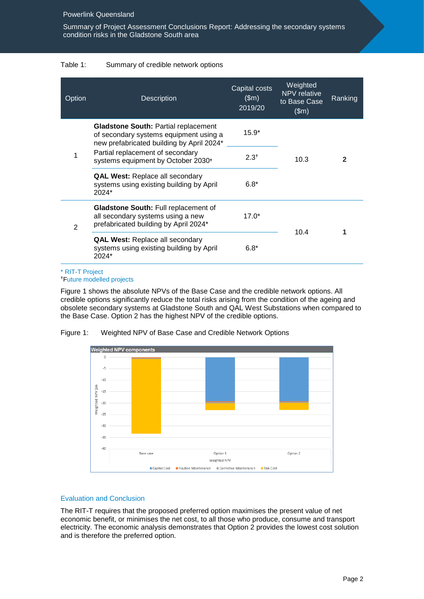Summary of Project Assessment Conclusions Report: Addressing the secondary systems condition risks in the Gladstone South area

## Table 1: Summary of credible network options

| Option | <b>Description</b>                                                                                                                                                                                                       | Capital costs<br>\$m\$<br>2019/20 | Weighted<br><b>NPV</b> relative<br>to Base Case<br>\$m\$ | Ranking      |
|--------|--------------------------------------------------------------------------------------------------------------------------------------------------------------------------------------------------------------------------|-----------------------------------|----------------------------------------------------------|--------------|
| 1      | <b>Gladstone South: Partial replacement</b><br>of secondary systems equipment using a<br>new prefabricated building by April 2024*<br>Partial replacement of secondary<br>systems equipment by October 2030 <sup>+</sup> | $15.9*$                           | 10.3                                                     | $\mathbf{2}$ |
|        |                                                                                                                                                                                                                          | $2.3^{+}$                         |                                                          |              |
|        | <b>QAL West: Replace all secondary</b><br>systems using existing building by April<br>2024*                                                                                                                              | $6.8*$                            |                                                          |              |
| 2      | <b>Gladstone South:</b> Full replacement of<br>all secondary systems using a new<br>prefabricated building by April 2024*                                                                                                | $17.0*$                           |                                                          |              |
|        | <b>QAL West: Replace all secondary</b><br>systems using existing building by April<br>2024*                                                                                                                              | $6.8*$                            | 10.4                                                     |              |

#### \* RIT-T Project Future modelled projects

Figure 1 shows the absolute NPVs of the Base Case and the credible network options. All credible options significantly reduce the total risks arising from the condition of the ageing and obsolete secondary systems at Gladstone South and QAL West Substations when compared to the Base Case. Option 2 has the highest NPV of the credible options.



Figure 1: Weighted NPV of Base Case and Credible Network Options

# Evaluation and Conclusion

The RIT-T requires that the proposed preferred option maximises the present value of net economic benefit, or minimises the net cost, to all those who produce, consume and transport electricity. The economic analysis demonstrates that Option 2 provides the lowest cost solution and is therefore the preferred option.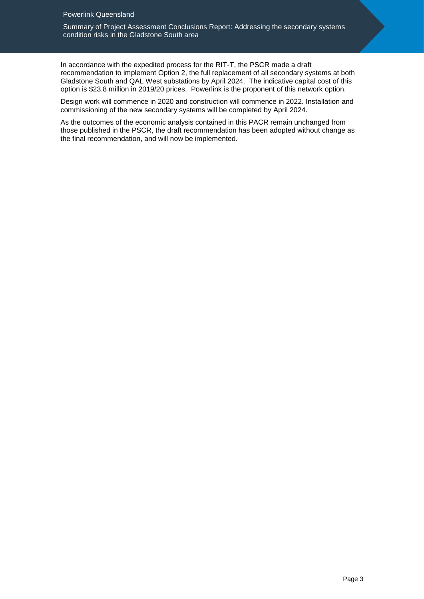Summary of Project Assessment Conclusions Report: Addressing the secondary systems condition risks in the Gladstone South area

In accordance with the expedited process for the RIT-T, the PSCR made a draft recommendation to implement Option 2, the full replacement of all secondary systems at both Gladstone South and QAL West substations by April 2024. The indicative capital cost of this option is \$23.8 million in 2019/20 prices. Powerlink is the proponent of this network option.

Design work will commence in 2020 and construction will commence in 2022. Installation and commissioning of the new secondary systems will be completed by April 2024.

As the outcomes of the economic analysis contained in this PACR remain unchanged from those published in the PSCR, the draft recommendation has been adopted without change as the final recommendation, and will now be implemented.